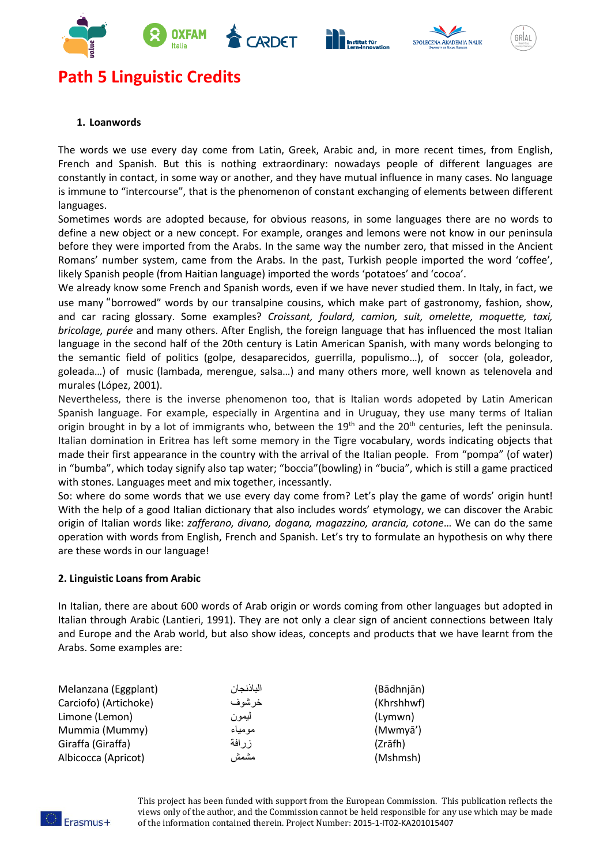





# **Path 5 Linguistic Credits**

## **1. Loanwords**

The words we use every day come from Latin, Greek, Arabic and, in more recent times, from English, French and Spanish. But this is nothing extraordinary: nowadays people of different languages are constantly in contact, in some way or another, and they have mutual influence in many cases. No language is immune to "intercourse", that is the phenomenon of constant exchanging of elements between different languages.

Sometimes words are adopted because, for obvious reasons, in some languages there are no words to define a new object or a new concept. For example, oranges and lemons were not know in our peninsula before they were imported from the Arabs. In the same way the number zero, that missed in the Ancient Romans' number system, came from the Arabs. In the past, Turkish people imported the word 'coffee', likely Spanish people (from Haitian language) imported the words 'potatoes' and 'cocoa'.

We already know some French and Spanish words, even if we have never studied them. In Italy, in fact, we use many "borrowed" words by our transalpine cousins, which make part of gastronomy, fashion, show, and car racing glossary. Some examples? *Croissant, foulard, camion, suit, omelette, moquette, taxi, bricolage, purée* and many others. After English, the foreign language that has influenced the most Italian language in the second half of the 20th century is Latin American Spanish, with many words belonging to the semantic field of politics (golpe, desaparecidos, guerrilla, populismo…), of soccer (ola, goleador, goleada…) of music (lambada, merengue, salsa…) and many others more, well known as telenovela and murales (López, 2001).

Nevertheless, there is the inverse phenomenon too, that is Italian words adopeted by Latin American Spanish language. For example, especially in Argentina and in Uruguay, they use many terms of Italian origin brought in by a lot of immigrants who, between the 19<sup>th</sup> and the 20<sup>th</sup> centuries, left the peninsula. Italian domination in Eritrea has left some memory in the Tigre vocabulary, words indicating objects that made their first appearance in the country with the arrival of the Italian people. From "pompa" (of water) in "bumba", which today signify also tap water; "boccia"(bowling) in "bucia", which is still a game practiced with stones. Languages meet and mix together, incessantly.

So: where do some words that we use every day come from? Let's play the game of words' origin hunt! With the help of a good Italian dictionary that also includes words' etymology, we can discover the Arabic origin of Italian words like: *zafferano, divano, dogana, magazzino, arancia, cotone*… We can do the same operation with words from English, French and Spanish. Let's try to formulate an hypothesis on why there are these words in our language!

# **2. Linguistic Loans from Arabic**

In Italian, there are about 600 words of Arab origin or words coming from other languages but adopted in Italian through Arabic (Lantieri, 1991). They are not only a clear sign of ancient connections between Italy and Europe and the Arab world, but also show ideas, concepts and products that we have learnt from the Arabs. Some examples are:

| Melanzana (Eggplant)  | الباذنجان | (Bādhnjān) |
|-----------------------|-----------|------------|
| Carciofo) (Artichoke) | خر شو ف   | (Khrshhwf) |
| Limone (Lemon)        | ليمون     | (Lymwn)    |
| Mummia (Mummy)        | مومياء    | (Mwmyā')   |
| Giraffa (Giraffa)     | ز ر افة   | (Zrāfh)    |
| Albicocca (Apricot)   | مشمش      | (Mshmsh)   |



This project has been funded with support from the European Commission. This publication reflects the views only of the author, and the Commission cannot be held responsible for any use which may be made of the information contained therein. Project Number: 2015-1-IT02-KA201015407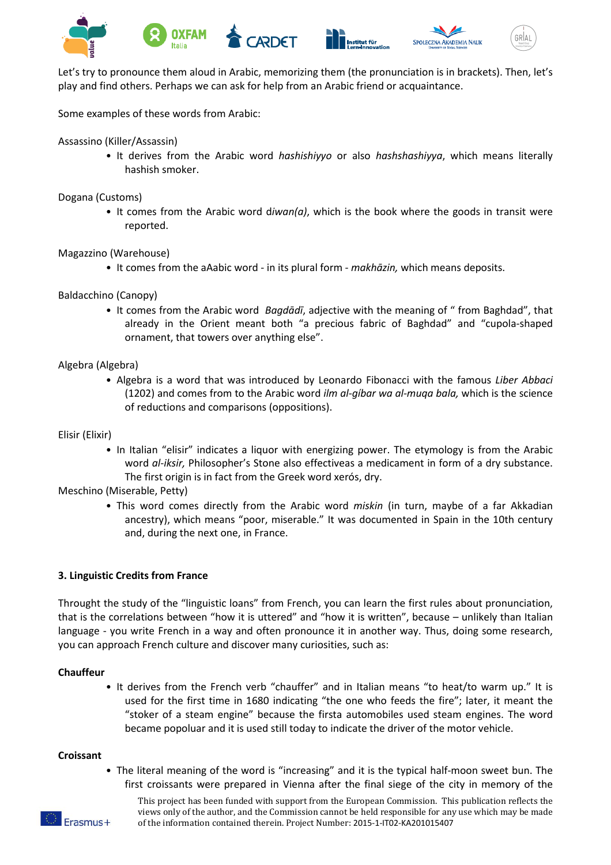







Let's try to pronounce them aloud in Arabic, memorizing them (the pronunciation is in brackets). Then, let's play and find others. Perhaps we can ask for help from an Arabic friend or acquaintance.

Some examples of these words from Arabic:

Assassino (Killer/Assassin)

• It derives from the Arabic word *hashishiyyo* or also *hashshashiyya*, which means literally hashish smoker.

Dogana (Customs)

• It comes from the Arabic word d*iwan(a)*, which is the book where the goods in transit were reported.

Magazzino (Warehouse)

• It comes from the aAabic word - in its plural form - *makhāzin,* which means deposits.

Baldacchino (Canopy)

• It comes from the Arabic word *Bagdādī*, adjective with the meaning of " from Baghdad", that already in the Orient meant both "a precious fabric of Baghdad" and "cupola-shaped ornament, that towers over anything else".

## Algebra (Algebra)

• Algebra is a word that was introduced by Leonardo Fibonacci with the famous *Liber Abbaci* (1202) and comes from to the Arabic word *ilm al-gíbar wa al-muqa bala,* which is the science of reductions and comparisons (oppositions).

## Elisir (Elixir)

• In Italian "elisir" indicates a liquor with energizing power. The etymology is from the Arabic word *al-iksir,* Philosopher's Stone also effectiveas a medicament in form of a dry substance. The first origin is in fact from the Greek word xerós, dry.

Meschino (Miserable, Petty)

• This word comes directly from the Arabic word *miskin* (in turn, maybe of a far Akkadian ancestry), which means "poor, miserable." It was documented in Spain in the 10th century and, during the next one, in France.

## **3. Linguistic Credits from France**

Throught the study of the "linguistic loans" from French, you can learn the first rules about pronunciation, that is the correlations between "how it is uttered" and "how it is written", because – unlikely than Italian language - you write French in a way and often pronounce it in another way. Thus, doing some research, you can approach French culture and discover many curiosities, such as:

## **Chauffeur**

• It derives from the French verb "chauffer" and in Italian means "to heat/to warm up." It is used for the first time in 1680 indicating "the one who feeds the fire"; later, it meant the "stoker of a steam engine" because the firsta automobiles used steam engines. The word became popoluar and it is used still today to indicate the driver of the motor vehicle.

#### **Croissant**

• The literal meaning of the word is "increasing" and it is the typical half-moon sweet bun. The first croissants were prepared in Vienna after the final siege of the city in memory of the

This project has been funded with support from the European Commission. This publication reflects the views only of the author, and the Commission cannot be held responsible for any use which may be made of the information contained therein. Project Number: 2015-1-IT02-KA201015407